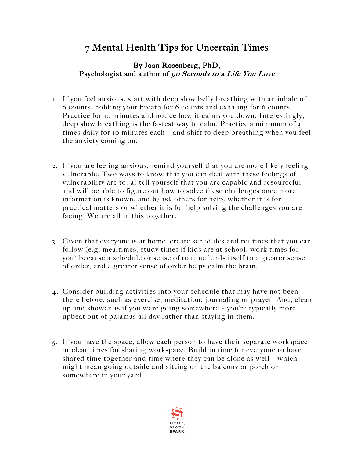## 7 Mental Health Tips for Uncertain Times

## By Joan Rosenberg, PhD, Psychologist and author of 90 Seconds to a Life You Love

- 1. If you feel anxious, start with deep slow belly breathing with an inhale of 6 counts, holding your breath for 6 counts and exhaling for 6 counts. Practice for 10 minutes and notice how it calms you down. Interestingly, deep slow breathing is the fastest way to calm. Practice a minimum of 3 times daily for 10 minutes each – and shift to deep breathing when you feel the anxiety coming on.
- 2. If you are feeling anxious, remind yourself that you are more likely feeling vulnerable. Two ways to know that you can deal with these feelings of vulnerability are to: a) tell yourself that you are capable and resourceful and will be able to figure out how to solve these challenges once more information is known, and b) ask others for help, whether it is for practical matters or whether it is for help solving the challenges you are facing. We are all in this together.
- 3. Given that everyone is at home, create schedules and routines that you can follow (e.g. mealtimes, study times if kids are at school, work times for you) because a schedule or sense of routine lends itself to a greater sense of order, and a greater sense of order helps calm the brain.
- 4. Consider building activities into your schedule that may have not been there before, such as exercise, meditation, journaling or prayer. And, clean up and shower as if you were going somewhere – you're typically more upbeat out of pajamas all day rather than staying in them.
- 5. If you have the space, allow each person to have their separate workspace or clear times for sharing workspace. Build in time for everyone to have shared time together and time where they can be alone as well – which might mean going outside and sitting on the balcony or porch or somewhere in your yard.